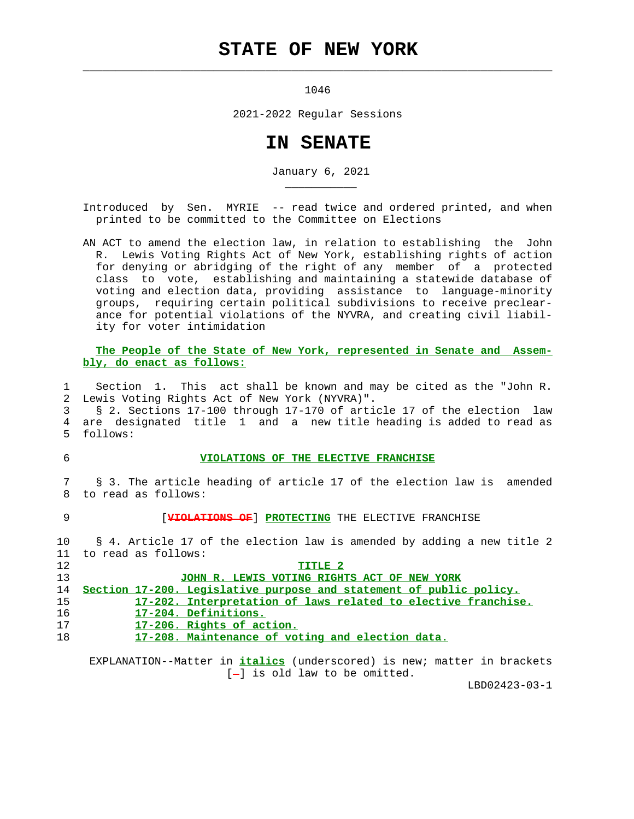## **STATE OF NEW YORK**

1046

 $\mathcal{L}_\text{max} = \frac{1}{2} \sum_{i=1}^{n} \frac{1}{2} \sum_{i=1}^{n} \frac{1}{2} \sum_{i=1}^{n} \frac{1}{2} \sum_{i=1}^{n} \frac{1}{2} \sum_{i=1}^{n} \frac{1}{2} \sum_{i=1}^{n} \frac{1}{2} \sum_{i=1}^{n} \frac{1}{2} \sum_{i=1}^{n} \frac{1}{2} \sum_{i=1}^{n} \frac{1}{2} \sum_{i=1}^{n} \frac{1}{2} \sum_{i=1}^{n} \frac{1}{2} \sum_{i=1}^{n} \frac{1$ 

2021-2022 Regular Sessions

## **IN SENATE**

January 6, 2021

 Introduced by Sen. MYRIE -- read twice and ordered printed, and when printed to be committed to the Committee on Elections

 AN ACT to amend the election law, in relation to establishing the John R. Lewis Voting Rights Act of New York, establishing rights of action for denying or abridging of the right of any member of a protected class to vote, establishing and maintaining a statewide database of voting and election data, providing assistance to language-minority groups, requiring certain political subdivisions to receive preclear ance for potential violations of the NYVRA, and creating civil liabil ity for voter intimidation

 **The People of the State of New York, represented in Senate and Assem bly, do enact as follows:**

 1 Section 1. This act shall be known and may be cited as the "John R. 2 Lewis Voting Rights Act of New York (NYVRA)".

 3 § 2. Sections 17-100 through 17-170 of article 17 of the election law 4 are designated title 1 and a new title heading is added to read as 5 follows:

## 6 **VIOLATIONS OF THE ELECTIVE FRANCHISE**

 7 § 3. The article heading of article 17 of the election law is amended 8 to read as follows:

9 **FIGLATIONS OF**] **PROTECTING** THE ELECTIVE FRANCHISE

 10 § 4. Article 17 of the election law is amended by adding a new title 2 11 to read as follows:

 12 **TITLE 2** 13 **JOHN R. LEWIS VOTING RIGHTS ACT OF NEW YORK**

14 **Section 17-200. Legislative purpose and statement of public policy.**

- 15 **17-202. Interpretation of laws related to elective franchise.**
- 16 **17-204. Definitions.**
- 17 **17-206. Rights of action.**

\_\_\_\_\_\_\_\_\_\_\_

18 **17-208. Maintenance of voting and election data.**

 EXPLANATION--Matter in **italics** (underscored) is new; matter in brackets  $[-]$  is old law to be omitted.

LBD02423-03-1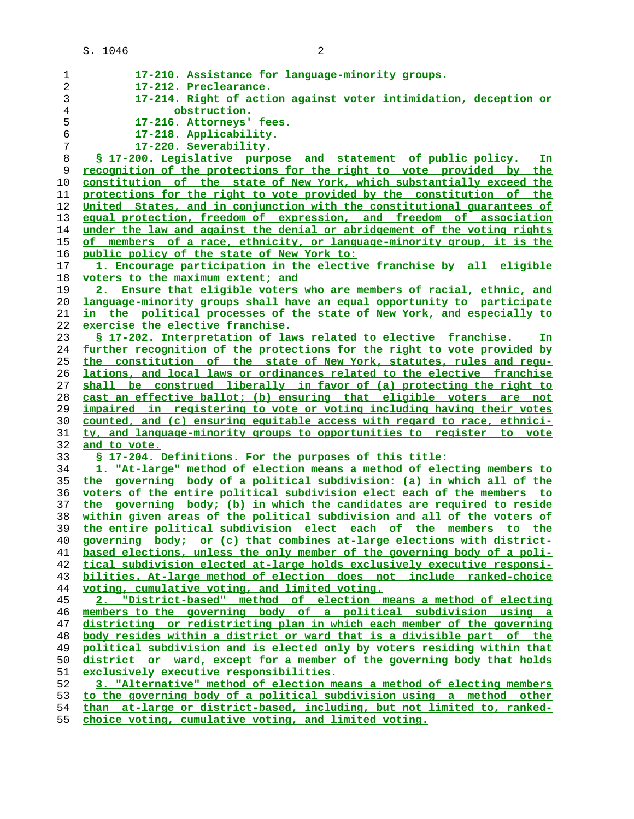| 1     | 17-210. Assistance for language-minority groups.                                |
|-------|---------------------------------------------------------------------------------|
| 2     | 17-212. Preclearance.                                                           |
| 3     | 17-214. Right of action against voter intimidation, deception or                |
| $\,4$ | obstruction.                                                                    |
|       |                                                                                 |
| 5     | 17-216. Attorneys' fees.                                                        |
| 6     | 17-218. Applicability.                                                          |
| 7     | 17-220. Severability.                                                           |
| 8     | \$ 17-200. Legislative purpose and statement of public policy. In               |
| 9     | recognition of the protections for the right to vote provided by the            |
| 10    | constitution of the state of New York, which substantially exceed the           |
| 11    | protections for the right to vote provided by the constitution of the           |
| 12    | United States, and in conjunction with the constitutional quarantees of         |
| 13    | equal protection, freedom of expression, and freedom of association             |
| 14    | under the law and against the denial or abridgement of the voting rights        |
| 15    | of members of a race, ethnicity, or language-minority group, it is the          |
| 16    | <u>public policy of the state of New York to:</u>                               |
| 17    | 1. Encourage participation in the elective franchise by all eligible            |
| 18    | voters to the maximum extent; and                                               |
|       | 2. Ensure that eligible voters who are members of racial, ethnic, and           |
| 19    |                                                                                 |
| 20    | language-minority groups shall have an equal opportunity to participate         |
| 21    | in the political processes of the state of New York, and especially to          |
| 22    | exercise the elective franchise.                                                |
| 23    | § 17-202. Interpretation of laws related to elective franchise.<br>In           |
| 24    | <u>further recognition of the protections for the right to vote provided by</u> |
| 25    | the constitution of the state of New York, statutes, rules and requ-            |
| 26    | lations, and local laws or ordinances related to the elective franchise         |
| 27    | shall be construed liberally in favor of (a) protecting the right to            |
| 28    | cast an effective ballot; (b) ensuring that eligible voters are not             |
| 29    | impaired in registering to vote or voting including having their votes          |
| 30    | counted, and (c) ensuring equitable access with regard to race, ethnici-        |
| 31    | ty, and language-minority groups to opportunities to register to vote           |
| 32    | and to vote.                                                                    |
| 33    | § 17-204. Definitions. For the purposes of this title:                          |
| 34    | 1. "At-large" method of election means a method of electing members to          |
| 35    | the governing body of a political subdivision: (a) in which all of the          |
| 36    | voters of the entire political subdivision elect each of the members to         |
| 37    | the governing body; (b) in which the candidates are required to reside          |
| 38    | within given areas of the political subdivision and all of the voters of        |
| 39    | the entire political subdivision elect each of the members to the               |
| 40    | governing body; or (c) that combines at-large elections with district-          |
| 41    | based elections, unless the only member of the governing body of a poli-        |
| 42    | tical subdivision elected at-large holds exclusively executive responsi-        |
| 43    |                                                                                 |
|       | bilities. At-large method of election does not include ranked-choice            |
| 44    | voting, cumulative voting, and limited voting.                                  |
| 45    | "District-based" method of election means a method of electing<br>2.            |
| 46    | members to the governing body of a political subdivision using a                |
| 47    | districting or redistricting plan in which each member of the governing         |
| 48    | body resides within a district or ward that is a divisible part of the          |
| 49    | political subdivision and is elected only by voters residing within that        |
| 50    | district or ward, except for a member of the governing body that holds          |
| 51    | exclusively executive responsibilities.                                         |
| 52    | 3. "Alternative" method of election means a method of electing members          |
| 53    | to the governing body of a political subdivision using a method other           |
| 54    | than at-large or district-based, including, but not limited to, ranked-         |
|       |                                                                                 |

**choice voting, cumulative voting, and limited voting.**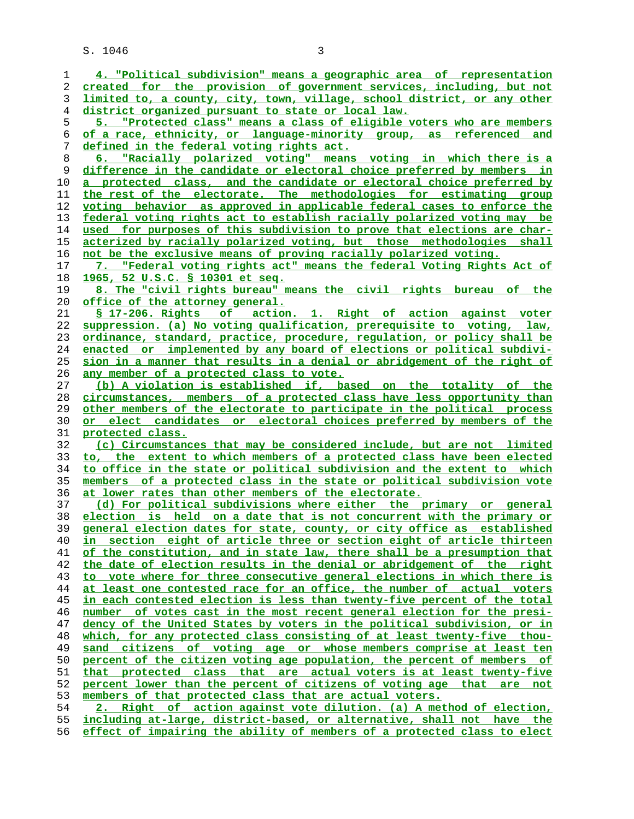| 1  | 4. "Political subdivision" means a geographic area of representation     |
|----|--------------------------------------------------------------------------|
| 2  | created for the provision of government services, including, but not     |
| 3  | limited to, a county, city, town, village, school district, or any other |
| 4  | district organized pursuant to state or local law.                       |
|    |                                                                          |
| 5  | "Protected class" means a class of eligible voters who are members       |
| 6  | of a race, ethnicity, or language-minority group, as referenced and      |
| 7  | defined in the federal voting rights act.                                |
| 8  | 6. "Racially polarized voting" means voting in which there is a          |
| 9  | difference in the candidate or electoral choice preferred by members in  |
|    |                                                                          |
| 10 | a protected class, and the candidate or electoral choice preferred by    |
| 11 | the rest of the electorate. The methodologies for estimating group       |
| 12 | voting behavior as approved in applicable federal cases to enforce the   |
| 13 | federal voting rights act to establish racially polarized voting may be  |
| 14 | used for purposes of this subdivision to prove that elections are char-  |
| 15 | acterized by racially polarized voting, but those methodologies shall    |
|    |                                                                          |
| 16 | not be the exclusive means of proving racially polarized voting.         |
| 17 | 7. "Federal voting rights act" means the federal Voting Rights Act of    |
| 18 | 1965, 52 U.S.C. § 10301 et seq.                                          |
| 19 | 8. The "civil rights bureau" means the civil rights bureau of the        |
| 20 | <u>office of the attorney general.</u>                                   |
| 21 | \$ 17-206. Rights of action. 1. Right of action against voter            |
|    |                                                                          |
| 22 | suppression. (a) No voting qualification, prerequisite to voting, law,   |
| 23 | ordinance, standard, practice, procedure, regulation, or policy shall be |
| 24 | enacted or implemented by any board of elections or political subdivi-   |
| 25 | sion in a manner that results in a denial or abridgement of the right of |
| 26 | any member of a protected class to vote.                                 |
| 27 | (b) A violation is established if, based on the totality of the          |
| 28 | circumstances, members of a protected class have less opportunity than   |
|    |                                                                          |
| 29 | other members of the electorate to participate in the political process  |
| 30 | or elect candidates or electoral choices preferred by members of the     |
| 31 | protected class.                                                         |
| 32 | (c) Circumstances that may be considered include, but are not limited    |
| 33 | to, the extent to which members of a protected class have been elected   |
| 34 | to office in the state or political subdivision and the extent to which  |
| 35 | members of a protected class in the state or political subdivision vote  |
|    |                                                                          |
| 36 | at lower rates than other members of the electorate.                     |
| 37 | (d) For political subdivisions where either the primary or general       |
| 38 | election is held on a date that is not concurrent with the primary or    |
| 39 | general election dates for state, county, or city office as established  |
| 40 | in section eight of article three or section eight of article thirteen   |
| 41 | of the constitution, and in state law, there shall be a presumption that |
| 42 | the date of election results in the denial or abridgement of the right   |
|    |                                                                          |
| 43 | to vote where for three consecutive general elections in which there is  |
| 44 | at least one contested race for an office, the number of actual voters   |
| 45 | in each contested election is less than twenty-five percent of the total |
| 46 | number of votes cast in the most recent general election for the presi-  |
| 47 | dency of the United States by voters in the political subdivision, or in |
| 48 | which, for any protected class consisting of at least twenty-five thou-  |
| 49 | sand citizens of voting age or whose members comprise at least ten       |
|    |                                                                          |
| 50 | percent of the citizen voting age population, the percent of members of  |
| 51 | that protected class that are actual voters is at least twenty-five      |
| 52 | percent lower than the percent of citizens of voting age that are not    |
| 53 | members of that protected class that are actual voters.                  |
| 54 | 2. Right of action against vote dilution. (a) A method of election,      |
| 55 | including at-large, district-based, or alternative, shall not have the   |
| 56 | effect of impairing the ability of members of a protected class to elect |
|    |                                                                          |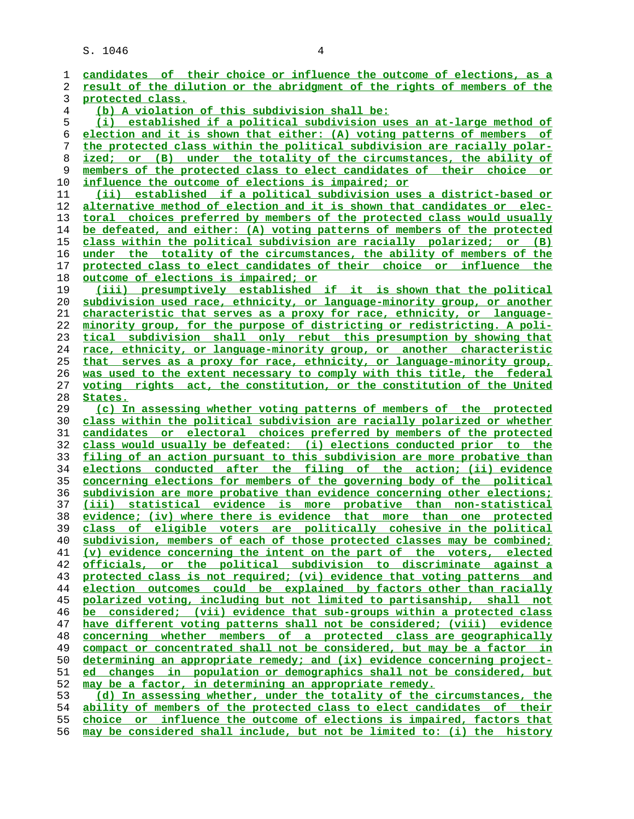**candidates of their choice or influence the outcome of elections, as a result of the dilution or the abridgment of the rights of members of the protected class. (b) A violation of this subdivision shall be: (i) established if a political subdivision uses an at-large method of election and it is shown that either: (A) voting patterns of members of the protected class within the political subdivision are racially polar- ized; or (B) under the totality of the circumstances, the ability of members of the protected class to elect candidates of their choice or influence the outcome of elections is impaired; or (ii) established if a political subdivision uses a district-based or alternative method of election and it is shown that candidates or elec- toral choices preferred by members of the protected class would usually be defeated, and either: (A) voting patterns of members of the protected class within the political subdivision are racially polarized; or (B) under the totality of the circumstances, the ability of members of the protected class to elect candidates of their choice or influence the outcome of elections is impaired; or (iii) presumptively established if it is shown that the political subdivision used race, ethnicity, or language-minority group, or another characteristic that serves as a proxy for race, ethnicity, or language- minority group, for the purpose of districting or redistricting. A poli- tical subdivision shall only rebut this presumption by showing that race, ethnicity, or language-minority group, or another characteristic that serves as a proxy for race, ethnicity, or language-minority group, was used to the extent necessary to comply with this title, the federal voting rights act, the constitution, or the constitution of the United States. (c) In assessing whether voting patterns of members of the protected class within the political subdivision are racially polarized or whether candidates or electoral choices preferred by members of the protected class would usually be defeated: (i) elections conducted prior to the filing of an action pursuant to this subdivision are more probative than elections conducted after the filing of the action; (ii) evidence concerning elections for members of the governing body of the political subdivision are more probative than evidence concerning other elections; (iii) statistical evidence is more probative than non-statistical evidence; (iv) where there is evidence that more than one protected class of eligible voters are politically cohesive in the political subdivision, members of each of those protected classes may be combined; (v) evidence concerning the intent on the part of the voters, elected officials, or the political subdivision to discriminate against a protected class is not required; (vi) evidence that voting patterns and election outcomes could be explained by factors other than racially polarized voting, including but not limited to partisanship, shall not be considered; (vii) evidence that sub-groups within a protected class have different voting patterns shall not be considered; (viii) evidence concerning whether members of a protected class are geographically compact or concentrated shall not be considered, but may be a factor in determining an appropriate remedy; and (ix) evidence concerning project- ed changes in population or demographics shall not be considered, but may be a factor, in determining an appropriate remedy. (d) In assessing whether, under the totality of the circumstances, the ability of members of the protected class to elect candidates of their choice or influence the outcome of elections is impaired, factors that**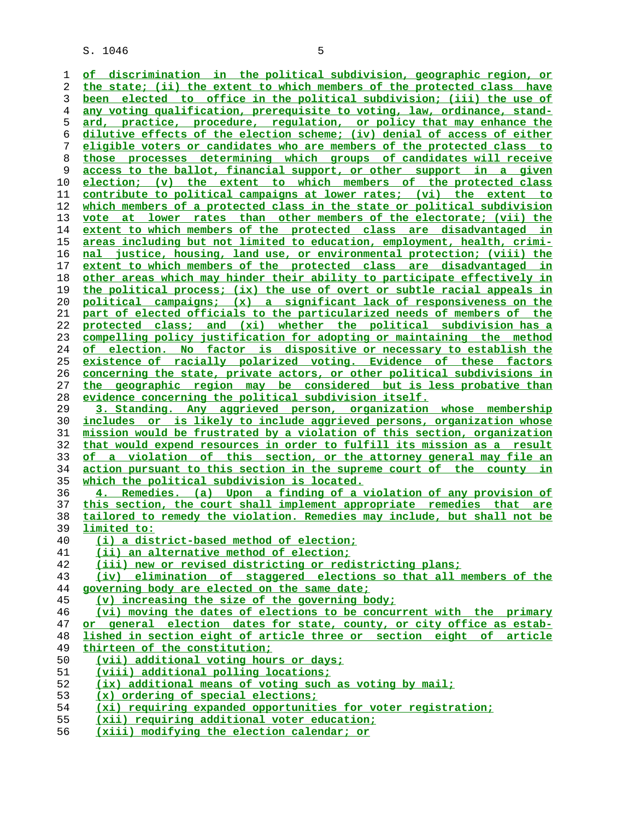**of discrimination in the political subdivision, geographic region, or the state; (ii) the extent to which members of the protected class have been elected to office in the political subdivision; (iii) the use of any voting qualification, prerequisite to voting, law, ordinance, stand- ard, practice, procedure, regulation, or policy that may enhance the dilutive effects of the election scheme; (iv) denial of access of either eligible voters or candidates who are members of the protected class to those processes determining which groups of candidates will receive access to the ballot, financial support, or other support in a given election; (v) the extent to which members of the protected class contribute to political campaigns at lower rates; (vi) the extent to which members of a protected class in the state or political subdivision vote at lower rates than other members of the electorate; (vii) the extent to which members of the protected class are disadvantaged in areas including but not limited to education, employment, health, crimi- nal justice, housing, land use, or environmental protection; (viii) the extent to which members of the protected class are disadvantaged in other areas which may hinder their ability to participate effectively in the political process; (ix) the use of overt or subtle racial appeals in political campaigns; (x) a significant lack of responsiveness on the part of elected officials to the particularized needs of members of the protected class; and (xi) whether the political subdivision has a compelling policy justification for adopting or maintaining the method of election. No factor is dispositive or necessary to establish the existence of racially polarized voting. Evidence of these factors concerning the state, private actors, or other political subdivisions in the geographic region may be considered but is less probative than evidence concerning the political subdivision itself. 3. Standing. Any aggrieved person, organization whose membership includes or is likely to include aggrieved persons, organization whose mission would be frustrated by a violation of this section, organization that would expend resources in order to fulfill its mission as a result of a violation of this section, or the attorney general may file an action pursuant to this section in the supreme court of the county in which the political subdivision is located. 4. Remedies. (a) Upon a finding of a violation of any provision of this section, the court shall implement appropriate remedies that are tailored to remedy the violation. Remedies may include, but shall not be limited to: (i) a district-based method of election; (ii) an alternative method of election; (iii) new or revised districting or redistricting plans; (iv) elimination of staggered elections so that all members of the governing body are elected on the same date; (v) increasing the size of the governing body; (vi) moving the dates of elections to be concurrent with the primary or general election dates for state, county, or city office as estab- lished in section eight of article three or section eight of article thirteen of the constitution; (vii) additional voting hours or days; (viii) additional polling locations; (ix) additional means of voting such as voting by mail; (x) ordering of special elections; (xi) requiring expanded opportunities for voter registration; (xii) requiring additional voter education;**

**(xiii) modifying the election calendar; or**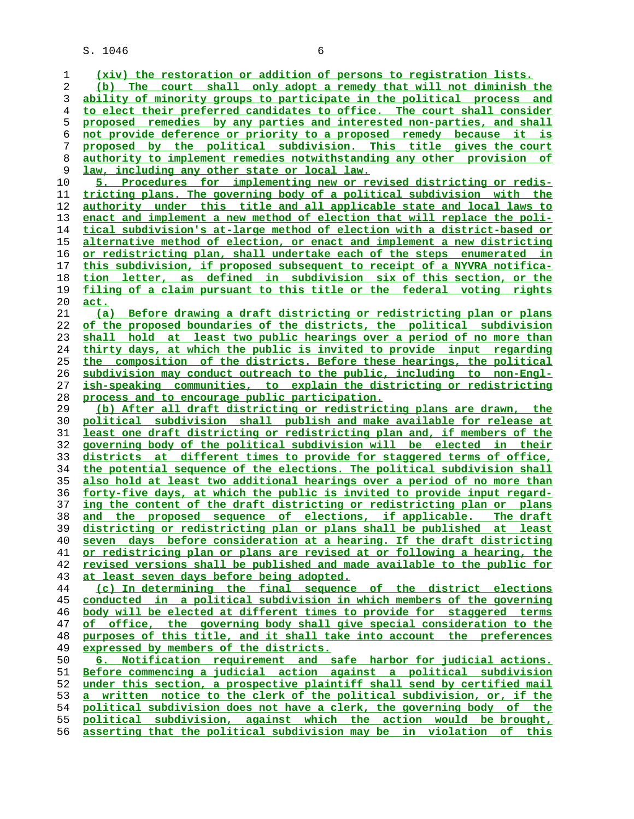**(xiv) the restoration or addition of persons to registration lists. (b) The court shall only adopt a remedy that will not diminish the ability of minority groups to participate in the political process and to elect their preferred candidates to office. The court shall consider proposed remedies by any parties and interested non-parties, and shall not provide deference or priority to a proposed remedy because it is proposed by the political subdivision. This title gives the court authority to implement remedies notwithstanding any other provision of law, including any other state or local law. 5. Procedures for implementing new or revised districting or redis- tricting plans. The governing body of a political subdivision with the authority under this title and all applicable state and local laws to enact and implement a new method of election that will replace the poli- tical subdivision's at-large method of election with a district-based or alternative method of election, or enact and implement a new districting or redistricting plan, shall undertake each of the steps enumerated in this subdivision, if proposed subsequent to receipt of a NYVRA notifica- tion letter, as defined in subdivision six of this section, or the filing of a claim pursuant to this title or the federal voting rights act. (a) Before drawing a draft districting or redistricting plan or plans of the proposed boundaries of the districts, the political subdivision shall hold at least two public hearings over a period of no more than thirty days, at which the public is invited to provide input regarding the composition of the districts. Before these hearings, the political subdivision may conduct outreach to the public, including to non-Engl- ish-speaking communities, to explain the districting or redistricting process and to encourage public participation. (b) After all draft districting or redistricting plans are drawn, the political subdivision shall publish and make available for release at least one draft districting or redistricting plan and, if members of the governing body of the political subdivision will be elected in their districts at different times to provide for staggered terms of office, the potential sequence of the elections. The political subdivision shall also hold at least two additional hearings over a period of no more than forty-five days, at which the public is invited to provide input regard- ing the content of the draft districting or redistricting plan or plans and the proposed sequence of elections, if applicable. The draft districting or redistricting plan or plans shall be published at least seven days before consideration at a hearing. If the draft districting or redistricing plan or plans are revised at or following a hearing, the revised versions shall be published and made available to the public for at least seven days before being adopted. (c) In determining the final sequence of the district elections conducted in a political subdivision in which members of the governing body will be elected at different times to provide for staggered terms of office, the governing body shall give special consideration to the purposes of this title, and it shall take into account the preferences expressed by members of the districts. 6. Notification requirement and safe harbor for judicial actions. Before commencing a judicial action against a political subdivision under this section, a prospective plaintiff shall send by certified mail a written notice to the clerk of the political subdivision, or, if the political subdivision does not have a clerk, the governing body of the political subdivision, against which the action would be brought, asserting that the political subdivision may be in violation of this**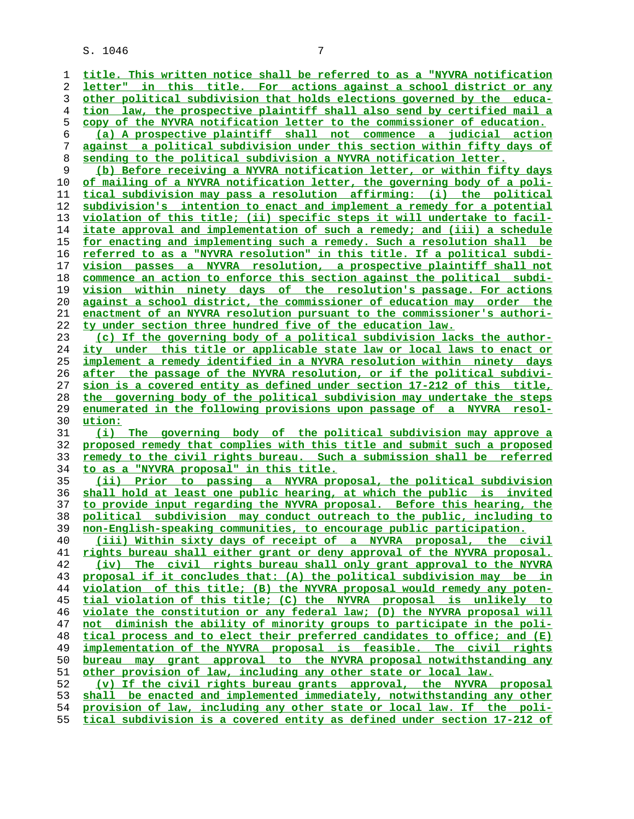**title. This written notice shall be referred to as a "NYVRA notification letter" in this title. For actions against a school district or any other political subdivision that holds elections governed by the educa- tion law, the prospective plaintiff shall also send by certified mail a copy of the NYVRA notification letter to the commissioner of education. (a) A prospective plaintiff shall not commence a judicial action against a political subdivision under this section within fifty days of sending to the political subdivision a NYVRA notification letter. (b) Before receiving a NYVRA notification letter, or within fifty days of mailing of a NYVRA notification letter, the governing body of a poli- tical subdivision may pass a resolution affirming: (i) the political subdivision's intention to enact and implement a remedy for a potential violation of this title; (ii) specific steps it will undertake to facil** itate approval and implementation of such a remedy; and (iii) a schedule **for enacting and implementing such a remedy. Such a resolution shall be referred to as a "NYVRA resolution" in this title. If a political subdi- vision passes a NYVRA resolution, a prospective plaintiff shall not commence an action to enforce this section against the political subdi- vision within ninety days of the resolution's passage. For actions against a school district, the commissioner of education may order the enactment of an NYVRA resolution pursuant to the commissioner's authori- ty under section three hundred five of the education law. (c) If the governing body of a political subdivision lacks the author- ity under this title or applicable state law or local laws to enact or implement a remedy identified in a NYVRA resolution within ninety days after the passage of the NYVRA resolution, or if the political subdivi- sion is a covered entity as defined under section 17-212 of this title, the governing body of the political subdivision may undertake the steps enumerated in the following provisions upon passage of a NYVRA resol- ution: (i) The governing body of the political subdivision may approve a proposed remedy that complies with this title and submit such a proposed remedy to the civil rights bureau. Such a submission shall be referred to as a "NYVRA proposal" in this title. (ii) Prior to passing a NYVRA proposal, the political subdivision shall hold at least one public hearing, at which the public is invited to provide input regarding the NYVRA proposal. Before this hearing, the political subdivision may conduct outreach to the public, including to non-English-speaking communities, to encourage public participation. (iii) Within sixty days of receipt of a NYVRA proposal, the civil rights bureau shall either grant or deny approval of the NYVRA proposal. (iv) The civil rights bureau shall only grant approval to the NYVRA proposal if it concludes that: (A) the political subdivision may be in violation of this title; (B) the NYVRA proposal would remedy any poten- tial violation of this title; (C) the NYVRA proposal is unlikely to violate the constitution or any federal law; (D) the NYVRA proposal will not diminish the ability of minority groups to participate in the poli- tical process and to elect their preferred candidates to office; and (E)** implementation of the NYVRA proposal is feasible. The civil rights **bureau may grant approval to the NYVRA proposal notwithstanding any other provision of law, including any other state or local law. (v) If the civil rights bureau grants approval, the NYVRA proposal shall be enacted and implemented immediately, notwithstanding any other provision of law, including any other state or local law. If the poli- tical subdivision is a covered entity as defined under section 17-212 of**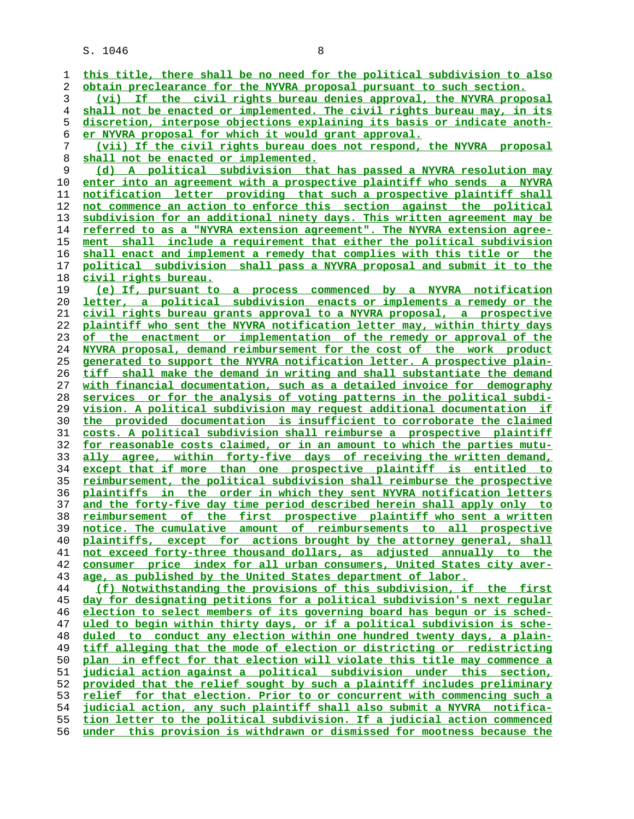| 1        | this title, there shall be no need for the political subdivision to also                                                                  |
|----------|-------------------------------------------------------------------------------------------------------------------------------------------|
| 2        | obtain preclearance for the NYVRA proposal pursuant to such section.                                                                      |
| 3        | If the civil rights bureau denies approval, the NYVRA proposal<br>(vi)                                                                    |
| 4        | shall not be enacted or implemented. The civil rights bureau may, in its                                                                  |
| 5        | discretion, interpose objections explaining its basis or indicate anoth-                                                                  |
| 6        | er NYVRA proposal for which it would grant approval.                                                                                      |
| 7        | (vii) If the civil rights bureau does not respond, the NYVRA proposal                                                                     |
| 8        | shall not be enacted or implemented.                                                                                                      |
| 9        | (d) A political subdivision that has passed a NYVRA resolution may                                                                        |
| 10       | enter into an agreement with a prospective plaintiff who sends a NYVRA                                                                    |
| 11       | notification letter providing that such a prospective plaintiff shall                                                                     |
| 12       | not commence an action to enforce this section against the political                                                                      |
| 13       | subdivision for an additional ninety days. This written agreement may be                                                                  |
| 14       | referred to as a "NYVRA extension agreement". The NYVRA extension agree-                                                                  |
| 15       | ment shall include a requirement that either the political subdivision                                                                    |
| 16       | shall enact and implement a remedy that complies with this title or the                                                                   |
| 17       | political subdivision shall pass a NYVRA proposal and submit it to the                                                                    |
| 18       | civil rights bureau.                                                                                                                      |
| 19       | (e) If, pursuant to a process commenced by a NYVRA notification                                                                           |
| 20       | <u>letter, a political subdivision enacts or implements a remedy or the</u>                                                               |
| 21       | civil rights bureau grants approval to a NYVRA proposal, a prospective                                                                    |
| 22       | plaintiff who sent the NYVRA notification letter may, within thirty days                                                                  |
| 23       | of the enactment or implementation of the remedy or approval of the                                                                       |
| 24       | NYVRA proposal, demand reimbursement for the cost of the work product                                                                     |
| 25       | generated to support the NYVRA notification letter. A prospective plain-                                                                  |
| 26       | tiff shall make the demand in writing and shall substantiate the demand                                                                   |
| 27       | with financial documentation, such as a detailed invoice for demography                                                                   |
| 28       | services or for the analysis of voting patterns in the political subdi-                                                                   |
| 29       | vision. A political subdivision may request additional documentation if                                                                   |
| 30       | the provided documentation is insufficient to corroborate the claimed                                                                     |
| 31       | costs. A political subdivision shall reimburse a prospective plaintiff                                                                    |
| 32       | for reasonable costs claimed, or in an amount to which the parties mutu-                                                                  |
| 33       | ally agree, within forty-five days of receiving the written demand,                                                                       |
| 34       | except that if more than one prospective plaintiff is entitled to                                                                         |
| 35       | <u>reimbursement, the political subdivision shall reimburse the prospective</u>                                                           |
| 36       | <u>plaintiffs in the order in which they sent NYVRA notification letters</u>                                                              |
| 37       | <u>and the forty-five day time period described herein shall apply only to</u>                                                            |
| 38<br>39 | reimbursement of the first prospective plaintiff who sent a written<br>notice. The cumulative amount of reimbursements to all prospective |
| 40       | plaintiffs, except for actions brought by the attorney general, shall                                                                     |
| 41       | not exceed forty-three thousand dollars, as adjusted annually to the                                                                      |
| 42       | consumer price index for all urban consumers, United States city aver-                                                                    |
| 43       | age, as published by the United States department of labor.                                                                               |
| 44       | (f) Notwithstanding the provisions of this subdivision, if the first                                                                      |
| 45       | day for designating petitions for a political subdivision's next regular                                                                  |
| 46       | election to select members of its governing board has begun or is sched-                                                                  |
| 47       | uled to begin within thirty days, or if a political subdivision is sche-                                                                  |
| 48       | duled to conduct any election within one hundred twenty days, a plain-                                                                    |
| 49       | tiff alleging that the mode of election or districting or redistricting                                                                   |
| 50       | plan in effect for that election will violate this title may commence a                                                                   |
| 51       | judicial action against a political subdivision under this section,                                                                       |
| 52       | provided that the relief sought by such a plaintiff includes preliminary                                                                  |
| 53       | relief for that election. Prior to or concurrent with commencing such a                                                                   |
| 54       | judicial action, any such plaintiff shall also submit a NYVRA notifica-                                                                   |
| 55       | tion letter to the political subdivision. If a judicial action commenced                                                                  |
| 56       | under this provision is withdrawn or dismissed for mootness because the                                                                   |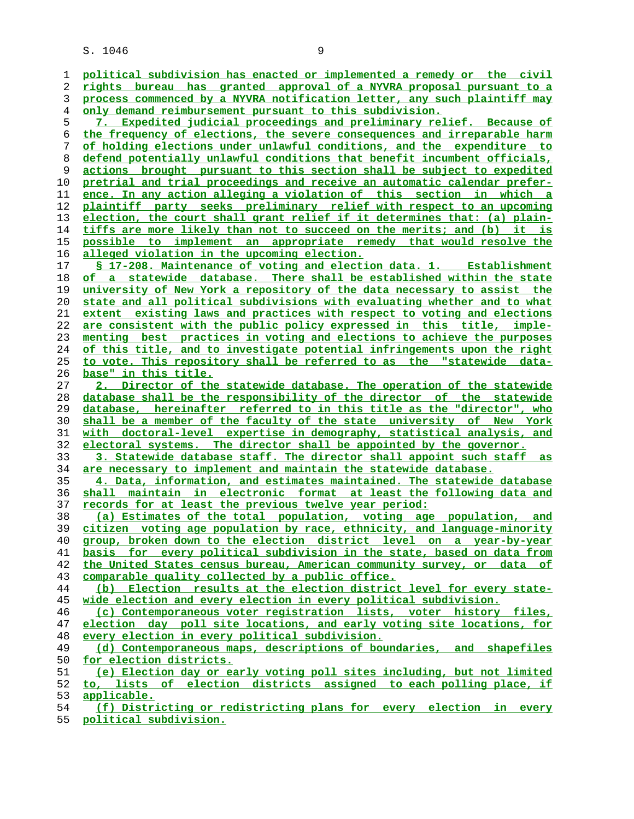| 1              | political subdivision has enacted or implemented a remedy or the civil   |
|----------------|--------------------------------------------------------------------------|
| 2              | rights bureau has granted approval of a NYVRA proposal pursuant to a     |
| 3              | process commenced by a NYVRA notification letter, any such plaintiff may |
| $\overline{4}$ | <u>only demand reimbursement pursuant to this subdivision.</u>           |
| 5              | 7. Expedited judicial proceedings and preliminary relief. Because of     |
| б              | the frequency of elections, the severe consequences and irreparable harm |
| 7              | of holding elections under unlawful conditions, and the expenditure to   |
| 8              | defend potentially unlawful conditions that benefit incumbent officials, |
| 9              | actions brought pursuant to this section shall be subject to expedited   |
| 10             | pretrial and trial proceedings and receive an automatic calendar prefer- |
| 11             | ence. In any action alleging a violation of this section in which a      |
|                | plaintiff party seeks preliminary relief with respect to an upcoming     |
| 12             |                                                                          |
| 13             | election, the court shall grant relief if it determines that: (a) plain- |
| 14             | tiffs are more likely than not to succeed on the merits; and (b) it is   |
| 15             | possible to implement an appropriate remedy that would resolve the       |
| 16             | alleged violation in the upcoming election.                              |
| 17             | § 17-208. Maintenance of voting and election data. 1. Establishment      |
| 18             | of<br>a statewide database. There shall be established within the state  |
| 19             | university of New York a repository of the data necessary to assist the  |
| 20             | state and all political subdivisions with evaluating whether and to what |
| 21             | extent existing laws and practices with respect to voting and elections  |
| 22             | are consistent with the public policy expressed in this title, imple-    |
| 23             | menting best practices in voting and elections to achieve the purposes   |
| 24             | of this title, and to investigate potential infringements upon the right |
| 25             | to vote. This repository shall be referred to as the "statewide data-    |
| 26             | base" in this title.                                                     |
| 27             | 2. Director of the statewide database. The operation of the statewide    |
| 28             | database shall be the responsibility of the director of the statewide    |
| 29             | database, hereinafter referred to in this title as the "director", who   |
| 30             | shall be a member of the faculty of the state university of New York     |
| 31             | with doctoral-level expertise in demography, statistical analysis, and   |
| 32             | electoral systems. The director shall be appointed by the governor.      |
| 33             | 3. Statewide database staff. The director shall appoint such staff as    |
| 34             | are necessary to implement and maintain the statewide database.          |
| 35             | 4. Data, information, and estimates maintained. The statewide database   |
|                |                                                                          |
| 36             | shall maintain in electronic format at least the following data and      |
| 37             | records for at least the previous twelve year period:                    |
| 38             | (a) Estimates of the total population, voting age population, and        |
| 39             | citizen voting age population by race, ethnicity, and language-minority  |
| 40             | group, broken down to the election district level on a year-by-year      |
| 41             | basis for every political subdivision in the state, based on data from   |
| 42             | the United States census bureau, American community survey, or data of   |
| 43             | comparable quality collected by a public office.                         |
| 44             | (b) Election results at the election district level for every state-     |
| 45             | wide election and every election in every political subdivision.         |
| 46             | (c) Contemporaneous voter registration lists, voter history files,       |
| 47             | election day poll site locations, and early voting site locations, for   |
| 48             | every election in every political subdivision.                           |
| 49             | (d) Contemporaneous maps, descriptions of boundaries, and shapefiles     |
| 50             | for election districts.                                                  |
| 51             | (e) Election day or early voting poll sites including, but not limited   |
| 52             | to, lists of election districts assigned to each polling place, if       |
| 53             | applicable.                                                              |
| 54             | (f) Districting or redistricting plans for every election in every       |
|                |                                                                          |

**political subdivision.**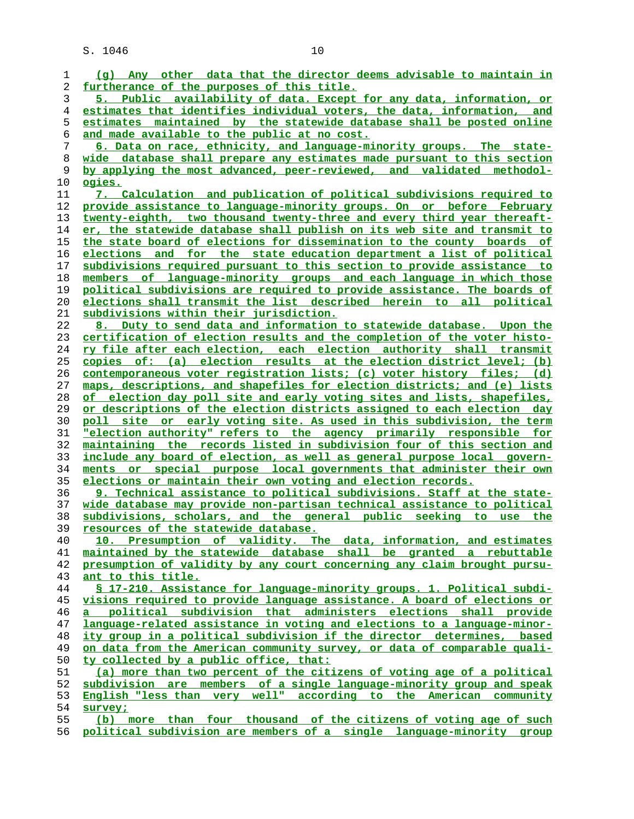| 1  | (q) Any other data that the director deems advisable to maintain in      |
|----|--------------------------------------------------------------------------|
| 2  | furtherance of the purposes of this title.                               |
| 3  | 5. Public availability of data. Except for any data, information, or     |
| 4  | estimates that identifies individual voters, the data, information, and  |
| 5  | estimates maintained by the statewide database shall be posted online    |
| 6  | and made available to the public at no cost.                             |
| 7  | 6. Data on race, ethnicity, and language-minority groups. The state-     |
| 8  | wide database shall prepare any estimates made pursuant to this section  |
| 9  | by applying the most advanced, peer-reviewed, and validated methodol-    |
| 10 |                                                                          |
|    | <u>ogies.</u>                                                            |
| 11 | 7. Calculation and publication of political subdivisions required to     |
| 12 | provide assistance to language-minority groups. On or before February    |
| 13 | twenty-eighth, two thousand twenty-three and every third year thereaft-  |
| 14 | er, the statewide database shall publish on its web site and transmit to |
| 15 | the state board of elections for dissemination to the county boards of   |
| 16 | elections and for the state education department a list of political     |
| 17 | subdivisions required pursuant to this section to provide assistance to  |
| 18 | members of language-minority groups and each language in which those     |
| 19 | political subdivisions are required to provide assistance. The boards of |
| 20 | elections shall transmit the list described herein to all political      |
| 21 | subdivisions within their jurisdiction.                                  |
| 22 | 8. Duty to send data and information to statewide database. Upon the     |
| 23 | certification of election results and the completion of the voter histo- |
| 24 | ry file after each election, each election authority shall transmit      |
|    | copies of: (a) election results at the election district level; (b)      |
| 25 |                                                                          |
| 26 | contemporaneous voter registration lists; (c) voter history files; (d)   |
| 27 | maps, descriptions, and shapefiles for election districts; and (e) lists |
| 28 | of election day poll site and early voting sites and lists, shapefiles,  |
| 29 | or descriptions of the election districts assigned to each election day  |
| 30 | poll site or early voting site. As used in this subdivision, the term    |
| 31 | "election authority" refers to the agency primarily responsible for      |
| 32 | maintaining the records listed in subdivision four of this section and   |
| 33 | include any board of election, as well as general purpose local govern-  |
| 34 | ments or special purpose local governments that administer their own     |
| 35 | elections or maintain their own voting and election records.             |
| 36 | 9. Technical assistance to political subdivisions. Staff at the state-   |
| 37 | wide database may provide non-partisan technical assistance to political |
| 38 | subdivisions, scholars, and the general public seeking to<br>use the     |
| 39 | resources of the statewide database.                                     |
| 40 | 10. Presumption of validity. The data, information, and estimates        |
| 41 | maintained by the statewide database shall be granted a rebuttable       |
| 42 | presumption of validity by any court concerning any claim brought pursu- |
| 43 | ant to this title.                                                       |
|    | § 17-210. Assistance for language-minority groups. 1. Political subdi-   |
| 44 |                                                                          |
| 45 | visions required to provide language assistance. A board of elections or |
| 46 | a political subdivision that administers elections shall provide         |
| 47 | language-related assistance in voting and elections to a language-minor- |
| 48 | ity group in a political subdivision if the director determines, based   |
| 49 | on data from the American community survey, or data of comparable quali- |
| 50 | ty collected by a public office, that:                                   |
| 51 | (a) more than two percent of the citizens of voting age of a political   |
| 52 | subdivision are members of a single language-minority group and speak    |
| 53 | English "less than very well" according to the American community        |
| 54 | survey;                                                                  |
| 55 | (b) more than four thousand of the citizens of voting age of such        |
| 56 | political subdivision are members of a single language-minority group    |
|    |                                                                          |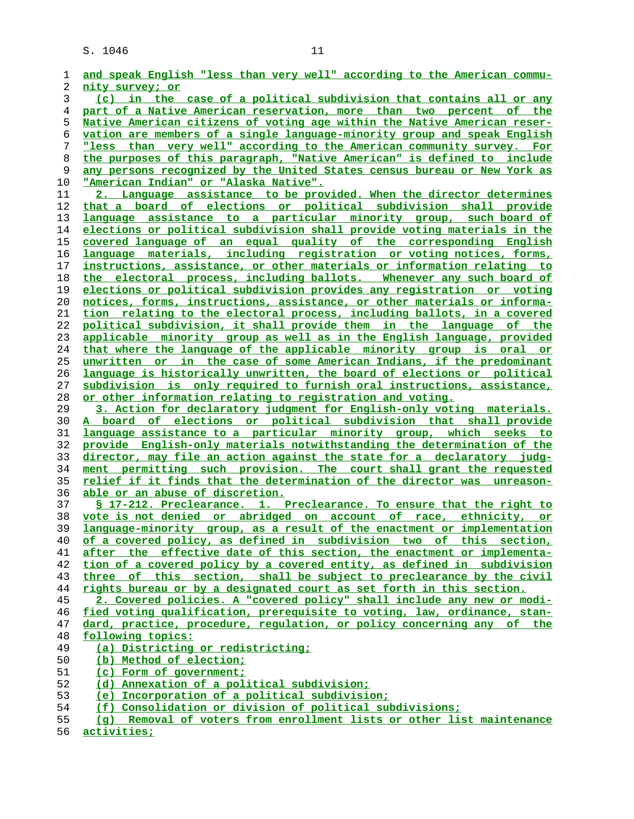| 1        | and speak English "less than very well" according to the American commu-                                                                           |
|----------|----------------------------------------------------------------------------------------------------------------------------------------------------|
| 2        | nity survey; or                                                                                                                                    |
| 3        | (c) in the case of a political subdivision that contains all or any                                                                                |
| 4        | part of a Native American reservation, more than two percent of the                                                                                |
| 5        | Native American citizens of voting age within the Native American reser-                                                                           |
| 6        | vation are members of a single language-minority group and speak English                                                                           |
| 7        | "less than very well" according to the American community survey. For                                                                              |
| 8        | the purposes of this paragraph, "Native American" is defined to include                                                                            |
| 9        | any persons recognized by the United States census bureau or New York as                                                                           |
| 10       | <u> "American Indian" or "Alaska Native".</u>                                                                                                      |
| 11       | 2. Language assistance to be provided. When the director determines                                                                                |
| 12       | that a board of elections or political subdivision shall provide                                                                                   |
| 13       | language assistance to a particular minority group, such board of                                                                                  |
| 14       | elections or political subdivision shall provide voting materials in the                                                                           |
| 15       | covered language of an equal quality of the corresponding English                                                                                  |
| 16       | language materials, including registration or voting notices, forms,                                                                               |
| 17       | instructions, assistance, or other materials or information relating to                                                                            |
| 18       | the electoral process, including ballots. Whenever any such board of                                                                               |
| 19       | <u>elections or political subdivision provides any registration or voting</u>                                                                      |
| 20       | <u>notices, forms, instructions, assistance, or other materials or informa-</u>                                                                    |
| 21       | <u>tion relating to the electoral process, including ballots, in a covered</u>                                                                     |
| 22       | political subdivision, it shall provide them in the language of the                                                                                |
| 23       | applicable minority group as well as in the English language, provided                                                                             |
| 24       | that where the language of the applicable minority group is oral or                                                                                |
| 25       | unwritten or in the case of some American Indians, if the predominant                                                                              |
| 26       | language is historically unwritten, the board of elections or political                                                                            |
| 27       | subdivision is only required to furnish oral instructions, assistance,                                                                             |
| 28       | or other information relating to registration and voting.                                                                                          |
| 29       | 3. Action for declaratory judgment for English-only voting materials.                                                                              |
| 30       | A board of elections or political subdivision that shall provide                                                                                   |
| 31       | language assistance to a particular minority group, which seeks to                                                                                 |
| 32       | provide English-only materials notwithstanding the determination of the                                                                            |
| 33       | director, may file an action against the state for a declaratory judg-                                                                             |
| 34       | ment permitting such provision. The court shall grant the requested                                                                                |
| 35       | <u>relief if it finds that the determination of the director was unreason-</u>                                                                     |
| 36       | able or an abuse of discretion.                                                                                                                    |
| 37       | § 17-212. Preclearance. 1. Preclearance. To ensure that the right to                                                                               |
| 38       | vote is not denied or abridged on account of race, ethnicity, or                                                                                   |
| 39       | language-minority group, as a result of the enactment or implementation                                                                            |
| 40       | of a covered policy, as defined in subdivision two of this section,                                                                                |
| 41       | after the effective date of this section, the enactment or implementa-                                                                             |
| 42       | tion of a covered policy by a covered entity, as defined in subdivision                                                                            |
| 43       | three of this section, shall be subject to preclearance by the civil                                                                               |
| 44       | rights bureau or by a designated court as set forth in this section.                                                                               |
| 45       | 2. Covered policies. A "covered policy" shall include any new or modi-<br>fied voting qualification, prerequisite to voting, law, ordinance, stan- |
| 46<br>47 | dard, practice, procedure, requlation, or policy concerning any of the                                                                             |
| 48       | following topics:                                                                                                                                  |
| 49       | (a) Districting or redistricting;                                                                                                                  |
| 50       | (b) Method of election;                                                                                                                            |
| 51       | (c) Form of government;                                                                                                                            |
| 52       | (d) Annexation of a political subdivision;                                                                                                         |
| 53       | (e) Incorporation of a political subdivision;                                                                                                      |
| 54       | (f) Consolidation or division of political subdivisions;                                                                                           |
| 55       | (q) Removal of voters from enrollment lists or other list maintenance                                                                              |
| 56       | activities;                                                                                                                                        |
|          |                                                                                                                                                    |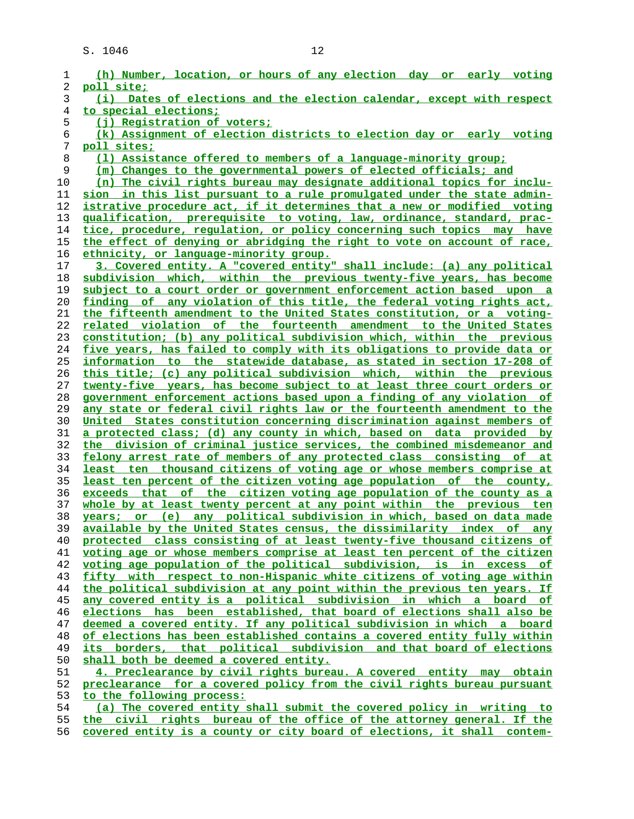| 1  | (h) Number, location, or hours of any election day or early voting       |
|----|--------------------------------------------------------------------------|
| 2  | poll site;                                                               |
| 3  | Dates of elections and the election calendar, except with respect<br>(i) |
|    |                                                                          |
| 4  | <u>to special elections;</u>                                             |
| 5  | (i) Registration of voters;                                              |
| б  | (k) Assignment of election districts to election day or early voting     |
| 7  | poll sites;                                                              |
| 8  | (1) Assistance offered to members of a language-minority group;          |
|    |                                                                          |
| 9  | (m) Changes to the governmental powers of elected officials; and         |
| 10 | (n) The civil rights bureau may designate additional topics for inclu-   |
| 11 | sion in this list pursuant to a rule promulgated under the state admin-  |
| 12 | istrative procedure act, if it determines that a new or modified voting  |
| 13 | qualification, prerequisite to voting, law, ordinance, standard, prac-   |
|    |                                                                          |
| 14 | tice, procedure, regulation, or policy concerning such topics may have   |
| 15 | the effect of denying or abridging the right to vote on account of race, |
| 16 | ethnicity, or language-minority group.                                   |
| 17 | 3. Covered entity. A "covered entity" shall include: (a) any political   |
| 18 | subdivision which, within the previous twenty-five years, has become     |
|    |                                                                          |
| 19 | subject to a court order or government enforcement action based upon a   |
| 20 | finding of any violation of this title, the federal voting rights act,   |
| 21 | the fifteenth amendment to the United States constitution, or a voting-  |
| 22 | related violation of the fourteenth amendment to the United States       |
| 23 | constitution; (b) any political subdivision which, within the previous   |
|    |                                                                          |
| 24 | five years, has failed to comply with its obligations to provide data or |
| 25 | information to the statewide database, as stated in section 17-208 of    |
| 26 | this title; (c) any political subdivision which, within the previous     |
| 27 | twenty-five years, has become subject to at least three court orders or  |
| 28 | government enforcement actions based upon a finding of any violation of  |
| 29 |                                                                          |
|    |                                                                          |
|    | any state or federal civil rights law or the fourteenth amendment to the |
| 30 | United States constitution concerning discrimination against members of  |
| 31 | a protected class; (d) any county in which, based on data provided by    |
| 32 | the division of criminal justice services, the combined misdemeanor and  |
|    |                                                                          |
| 33 | felony arrest rate of members of any protected class consisting of at    |
| 34 | least ten thousand citizens of voting age or whose members comprise at   |
| 35 | least ten percent of the citizen voting age population of the county,    |
| 36 | exceeds that of the citizen voting age population of the county as a     |
| 37 | whole by at least twenty percent at any point within the previous ten    |
| 38 |                                                                          |
|    | years; or (e) any political subdivision in which, based on data made     |
| 39 | available by the United States census, the dissimilarity index of any    |
| 40 | protected class consisting of at least twenty-five thousand citizens of  |
| 41 | voting age or whose members comprise at least ten percent of the citizen |
| 42 | voting age population of the political subdivision, is in excess of      |
| 43 | fifty with respect to non-Hispanic white citizens of voting age within   |
| 44 | the political subdivision at any point within the previous ten years. If |
|    |                                                                          |
| 45 | any covered entity is a political subdivision in which a board of        |
| 46 | elections has been established, that board of elections shall also be    |
| 47 | deemed a covered entity. If any political subdivision in which a board   |
| 48 | of elections has been established contains a covered entity fully within |
| 49 | its borders, that political subdivision and that board of elections      |
| 50 |                                                                          |
|    | shall both be deemed a covered entity.                                   |
| 51 | 4. Preclearance by civil rights bureau. A covered entity may obtain      |
| 52 | preclearance for a covered policy from the civil rights bureau pursuant  |
| 53 | to the following process:                                                |
| 54 | (a) The covered entity shall submit the covered policy in writing to     |
| 55 | the civil rights bureau of the office of the attorney general. If the    |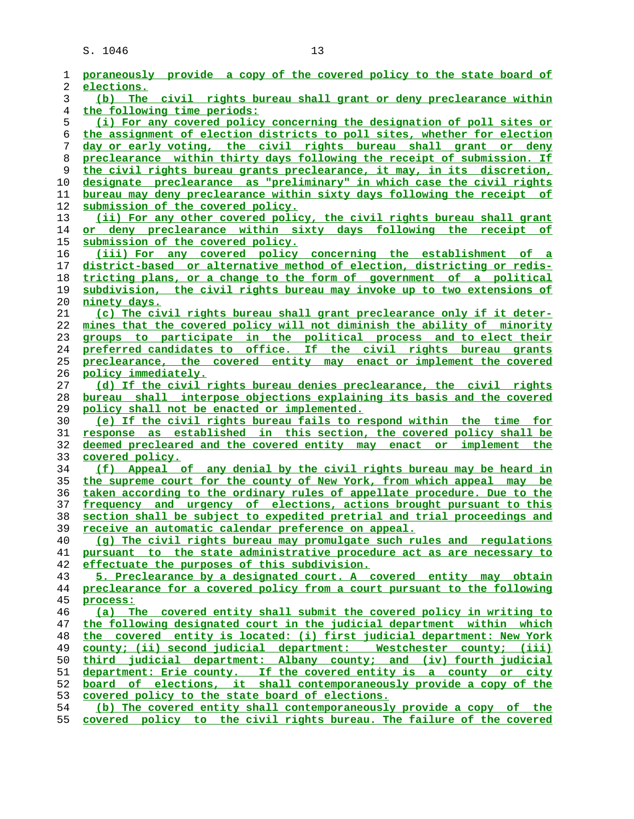| 1        | poraneously provide a copy of the covered policy to the state board of                                                                    |
|----------|-------------------------------------------------------------------------------------------------------------------------------------------|
| 2        | elections.                                                                                                                                |
| 3        | (b) The civil rights bureau shall grant or deny preclearance within                                                                       |
| 4        | the following time periods:                                                                                                               |
| 5        | (i) For any covered policy concerning the designation of poll sites or                                                                    |
| 6        | the assignment of election districts to poll sites, whether for election                                                                  |
| 7        | day or early voting, the civil rights bureau shall grant or deny                                                                          |
| 8        | preclearance within thirty days following the receipt of submission. If                                                                   |
| 9        | the civil rights bureau grants preclearance, it may, in its discretion,                                                                   |
| 10       | designate preclearance as "preliminary" in which case the civil rights                                                                    |
| 11       | bureau may deny preclearance within sixty days following the receipt of                                                                   |
| 12<br>13 | submission of the covered policy.<br>(ii) For any other covered policy, the civil rights bureau shall grant                               |
|          |                                                                                                                                           |
| 14<br>15 | or deny preclearance within sixty days following the receipt of                                                                           |
| 16       | submission of the covered policy.                                                                                                         |
| 17       | (iii) For any covered policy concerning the establishment of a<br>district-based or alternative method of election, districting or redis- |
| 18       | tricting plans, or a change to the form of government of a political                                                                      |
| 19       | subdivision, the civil rights bureau may invoke up to two extensions of                                                                   |
| 20       |                                                                                                                                           |
| 21       | ninety days.<br>(c) The civil rights bureau shall grant preclearance only if it deter-                                                    |
| 22       | mines that the covered policy will not diminish the ability of minority                                                                   |
| 23       | groups to participate in the political process and to elect their                                                                         |
| 24       | preferred candidates to office. If the civil rights bureau grants                                                                         |
| 25       | preclearance, the covered entity may enact or implement the covered                                                                       |
| 26       | policy immediately.                                                                                                                       |
| 27       | (d) If the civil rights bureau denies preclearance, the civil rights                                                                      |
| 28       | bureau shall interpose objections explaining its basis and the covered                                                                    |
| 29       | policy shall not be enacted or implemented.                                                                                               |
| 30       | (e) If the civil rights bureau fails to respond within the time for                                                                       |
| 31       | response as established in this section, the covered policy shall be                                                                      |
| 32       | deemed precleared and the covered entity may enact or implement the                                                                       |
| 33       | covered policy.                                                                                                                           |
| 34       | (f) Appeal of any denial by the civil rights bureau may be heard in                                                                       |
| 35       | the supreme court for the county of New York, from which appeal may be                                                                    |
| 36       | taken according to the ordinary rules of appellate procedure. Due to the                                                                  |
| 37       | frequency and urgency of elections, actions brought pursuant to this                                                                      |
| 38       | section shall be subject to expedited pretrial and trial proceedings and                                                                  |
| 39       | receive an automatic calendar preference on appeal.                                                                                       |
| 40       | (q) The civil rights bureau may promulgate such rules and regulations                                                                     |
| 41       | pursuant to the state administrative procedure act as are necessary to                                                                    |
| 42       | effectuate the purposes of this subdivision.                                                                                              |
| 43       | 5. Preclearance by a designated court. A covered entity may obtain                                                                        |
| 44       | preclearance for a covered policy from a court pursuant to the following                                                                  |
| 45       | process:                                                                                                                                  |
| 46       | (a) The covered entity shall submit the covered policy in writing to                                                                      |
| 47       | the following designated court in the judicial department within which                                                                    |
| 48       | the covered entity is located: (i) first judicial department: New York                                                                    |
| 49       | county; (ii) second judicial department: Westchester county; (iii)                                                                        |
| 50       | third judicial department: Albany county; and (iv) fourth judicial                                                                        |
| 51       | department: Erie county. If the covered entity is a county or city                                                                        |
| 52       | board of elections, it shall contemporaneously provide a copy of the                                                                      |
| 53       | covered policy to the state board of elections.                                                                                           |
| 54       | (b) The covered entity shall contemporaneously provide a copy of the                                                                      |
| 55       | covered policy to the civil rights bureau. The failure of the covered                                                                     |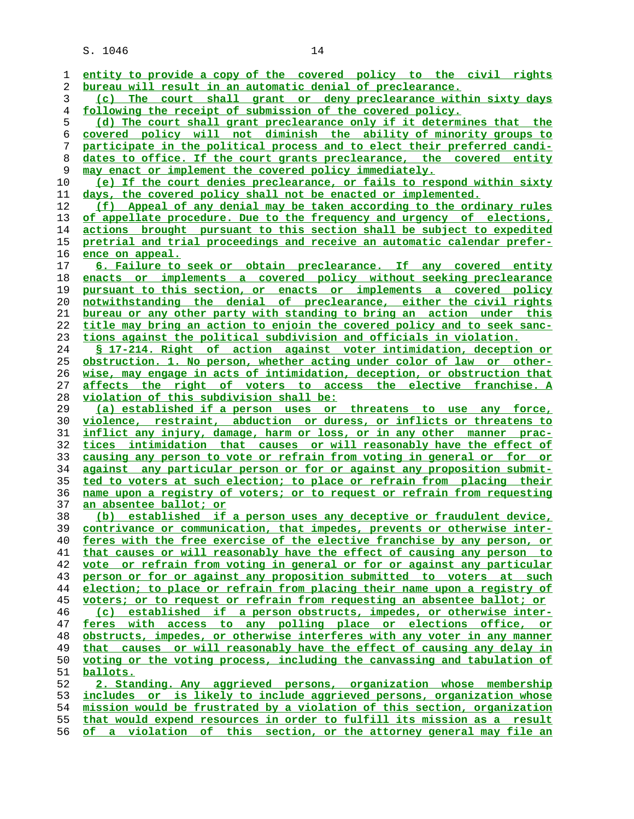| 1              | entity to provide a copy of the covered policy to the civil rights       |
|----------------|--------------------------------------------------------------------------|
| 2              | bureau will result in an automatic denial of preclearance.               |
| 3              | The court shall grant or deny preclearance within sixty days<br>(c)      |
| $\overline{4}$ | following the receipt of submission of the covered policy.               |
| 5              | (d) The court shall grant preclearance only if it determines that the    |
| 6              | covered policy will not diminish the ability of minority groups to       |
|                |                                                                          |
| 7              | participate in the political process and to elect their preferred candi- |
| 8              | dates to office. If the court grants preclearance, the covered entity    |
| 9              | may enact or implement the covered policy immediately.                   |
| 10             | (e) If the court denies preclearance, or fails to respond within sixty   |
| 11             | days, the covered policy shall not be enacted or implemented.            |
| 12             | (f) Appeal of any denial may be taken according to the ordinary rules    |
| 13             | of appellate procedure. Due to the frequency and urgency of elections,   |
| 14             | actions brought pursuant to this section shall be subject to expedited   |
| 15             | pretrial and trial proceedings and receive an automatic calendar prefer- |
| 16             | ence on appeal.                                                          |
| 17             | 6. Failure to seek or obtain preclearance. If any covered entity         |
| 18             | enacts or implements a covered policy without seeking preclearance       |
| 19             | pursuant to this section, or enacts or implements a covered policy       |
| 20             | notwithstanding the denial of preclearance, either the civil rights      |
| 21             | bureau or any other party with standing to bring an action under this    |
|                |                                                                          |
| 22             | title may bring an action to enjoin the covered policy and to seek sanc- |
| 23             | tions against the political subdivision and officials in violation.      |
| 24             | § 17-214. Right of action against voter intimidation, deception or       |
| 25             | obstruction. 1. No person, whether acting under color of law or other-   |
| 26             | wise, may engage in acts of intimidation, deception, or obstruction that |
| 27             | affects the right of voters to access the elective franchise. A          |
| 28             | violation of this subdivision shall be:                                  |
| 29             | (a) established if a person uses or threatens to use any force,          |
| 30             | violence, restraint, abduction or duress, or inflicts or threatens to    |
| 31             | inflict any injury, damage, harm or loss, or in any other manner prac-   |
| 32             | tices intimidation that causes or will reasonably have the effect of     |
| 33             | causing any person to vote or refrain from voting in general or for or   |
| 34             | against any particular person or for or against any proposition submit-  |
| 35             | ted to voters at such election; to place or refrain from placing their   |
| 36             | name upon a registry of voters; or to request or refrain from requesting |
| 37             | an absentee ballot; or                                                   |
| 38             | (b) established if a person uses any deceptive or fraudulent device,     |
| 39             | contrivance or communication, that impedes, prevents or otherwise inter- |
|                |                                                                          |
| 40             | feres with the free exercise of the elective franchise by any person, or |
| 41             | that causes or will reasonably have the effect of causing any person to  |
| 42             | vote or refrain from voting in general or for or against any particular  |
| 43             | person or for or against any proposition submitted to voters at such     |
| 44             | election; to place or refrain from placing their name upon a registry of |
| 45             | voters; or to request or refrain from requesting an absentee ballot; or  |
| 46             | (c) established if a person obstructs, impedes, or otherwise inter-      |
| 47             | feres with access to any polling place or elections office, or           |
| 48             | obstructs, impedes, or otherwise interferes with any voter in any manner |
| 49             | that causes or will reasonably have the effect of causing any delay in   |
| 50             | voting or the voting process, including the canvassing and tabulation of |
| 51             | ballots.                                                                 |
| 52             | 2. Standing. Any aggrieved persons, organization whose membership        |
| 53             | includes or is likely to include aggrieved persons, organization whose   |
| 54             | mission would be frustrated by a violation of this section, organization |
| 55             | that would expend resources in order to fulfill its mission as a result  |
| 56             | of a violation of this section, or the attorney general may file an      |
|                |                                                                          |